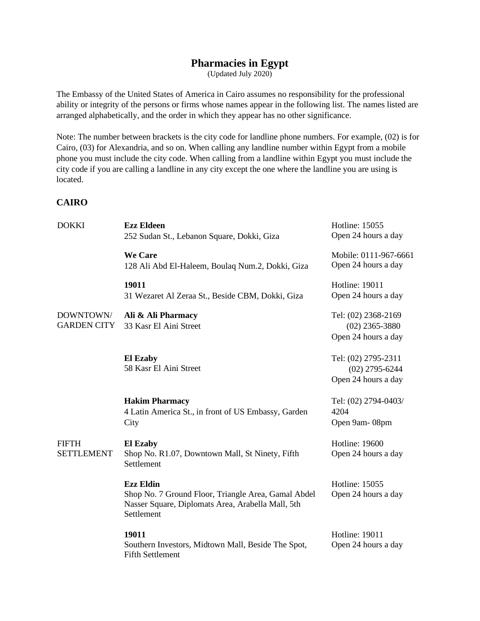# **Pharmacies in Egypt**

(Updated July 2020)

The Embassy of the United States of America in Cairo assumes no responsibility for the professional ability or integrity of the persons or firms whose names appear in the following list. The names listed are arranged alphabetically, and the order in which they appear has no other significance.

Note: The number between brackets is the city code for landline phone numbers. For example, (02) is for Cairo, (03) for Alexandria, and so on. When calling any landline number within Egypt from a mobile phone you must include the city code. When calling from a landline within Egypt you must include the city code if you are calling a landline in any city except the one where the landline you are using is located.

## **CAIRO**

| <b>DOKKI</b>                    | <b>Ezz Eldeen</b><br>252 Sudan St., Lebanon Square, Dokki, Giza                                                                            | <b>Hotline: 15055</b><br>Open 24 hours a day                   |
|---------------------------------|--------------------------------------------------------------------------------------------------------------------------------------------|----------------------------------------------------------------|
|                                 | <b>We Care</b><br>128 Ali Abd El-Haleem, Boulaq Num.2, Dokki, Giza                                                                         | Mobile: 0111-967-6661<br>Open 24 hours a day                   |
|                                 | 19011<br>31 Wezaret Al Zeraa St., Beside CBM, Dokki, Giza                                                                                  | Hotline: 19011<br>Open 24 hours a day                          |
| DOWNTOWN/<br><b>GARDEN CITY</b> | Ali & Ali Pharmacy<br>33 Kasr El Aini Street                                                                                               | Tel: (02) 2368-2169<br>$(02)$ 2365-3880<br>Open 24 hours a day |
|                                 | <b>El Ezaby</b><br>58 Kasr El Aini Street                                                                                                  | Tel: (02) 2795-2311<br>$(02)$ 2795-6244<br>Open 24 hours a day |
|                                 | <b>Hakim Pharmacy</b><br>4 Latin America St., in front of US Embassy, Garden<br>City                                                       | Tel: (02) 2794-0403/<br>4204<br>Open 9am-08pm                  |
| FIFTH<br><b>SETTLEMENT</b>      | <b>El Ezaby</b><br>Shop No. R1.07, Downtown Mall, St Ninety, Fifth<br>Settlement                                                           | Hotline: 19600<br>Open 24 hours a day                          |
|                                 | <b>Ezz Eldin</b><br>Shop No. 7 Ground Floor, Triangle Area, Gamal Abdel<br>Nasser Square, Diplomats Area, Arabella Mall, 5th<br>Settlement | Hotline: 15055<br>Open 24 hours a day                          |
|                                 | 19011<br>Southern Investors, Midtown Mall, Beside The Spot,<br><b>Fifth Settlement</b>                                                     | Hotline: 19011<br>Open 24 hours a day                          |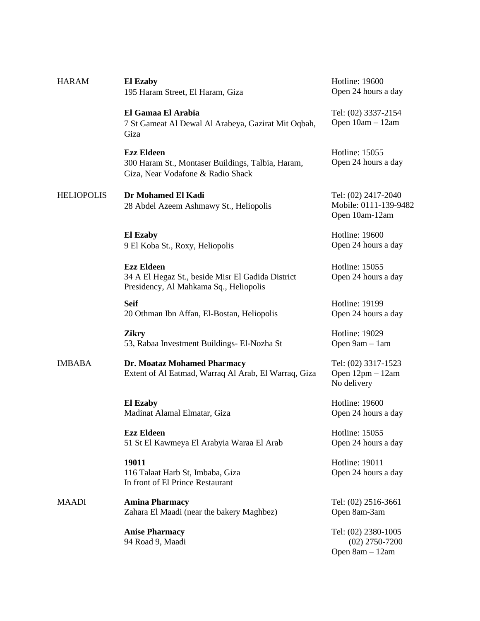| <b>HARAM</b>      | <b>El Ezaby</b><br>195 Haram Street, El Haram, Giza                                                              | Hotline: 19600<br>Open 24 hours a day                          |
|-------------------|------------------------------------------------------------------------------------------------------------------|----------------------------------------------------------------|
|                   | El Gamaa El Arabia<br>7 St Gameat Al Dewal Al Arabeya, Gazirat Mit Oqbah,<br>Giza                                | Tel: (02) 3337-2154<br>Open 10am - 12am                        |
|                   | <b>Ezz Eldeen</b><br>300 Haram St., Montaser Buildings, Talbia, Haram,<br>Giza, Near Vodafone & Radio Shack      | Hotline: 15055<br>Open 24 hours a day                          |
| <b>HELIOPOLIS</b> | Dr Mohamed El Kadi<br>28 Abdel Azeem Ashmawy St., Heliopolis                                                     | Tel: (02) 2417-2040<br>Mobile: 0111-139-9482<br>Open 10am-12am |
|                   | <b>El Ezaby</b><br>9 El Koba St., Roxy, Heliopolis                                                               | Hotline: 19600<br>Open 24 hours a day                          |
|                   | <b>Ezz Eldeen</b><br>34 A El Hegaz St., beside Misr El Gadida District<br>Presidency, Al Mahkama Sq., Heliopolis | Hotline: 15055<br>Open 24 hours a day                          |
|                   | <b>Seif</b><br>20 Othman Ibn Affan, El-Bostan, Heliopolis                                                        | Hotline: 19199<br>Open 24 hours a day                          |
|                   | <b>Zikry</b><br>53, Rabaa Investment Buildings- El-Nozha St                                                      | Hotline: 19029<br>Open 9am - 1am                               |
| <b>IMBABA</b>     | Dr. Moataz Mohamed Pharmacy<br>Extent of Al Eatmad, Warraq Al Arab, El Warraq, Giza                              | Tel: (02) 3317-1523<br>Open $12$ pm $-12$ am<br>No delivery    |
|                   | <b>El Ezaby</b><br>Madinat Alamal Elmatar, Giza                                                                  | Hotline: 19600<br>Open 24 hours a day                          |
|                   | <b>Ezz Eldeen</b><br>51 St El Kawmeya El Arabyia Waraa El Arab                                                   | <b>Hotline: 15055</b><br>Open 24 hours a day                   |
|                   | 19011<br>116 Talaat Harb St, Imbaba, Giza<br>In front of El Prince Restaurant                                    | Hotline: 19011<br>Open 24 hours a day                          |
| MAADI             | <b>Amina Pharmacy</b><br>Zahara El Maadi (near the bakery Maghbez)                                               | Tel: (02) 2516-3661<br>Open 8am-3am                            |
|                   | <b>Anise Pharmacy</b><br>94 Road 9, Maadi                                                                        | Tel: (02) 2380-1005<br>$(02)$ 2750-7200<br>Open 8am - 12am     |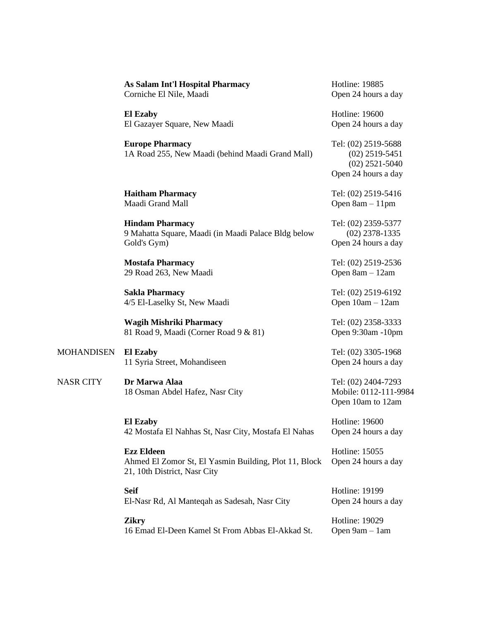|                   | As Salam Int'l Hospital Pharmacy<br>Corniche El Nile, Maadi                                                | Hotline: 19885<br>Open 24 hours a day                                              |
|-------------------|------------------------------------------------------------------------------------------------------------|------------------------------------------------------------------------------------|
|                   | <b>El Ezaby</b><br>El Gazayer Square, New Maadi                                                            | Hotline: 19600<br>Open 24 hours a day                                              |
|                   | <b>Europe Pharmacy</b><br>1A Road 255, New Maadi (behind Maadi Grand Mall)                                 | Tel: (02) 2519-5688<br>$(02)$ 2519-5451<br>$(02)$ 2521-5040<br>Open 24 hours a day |
|                   | <b>Haitham Pharmacy</b><br>Maadi Grand Mall                                                                | Tel: (02) 2519-5416<br>Open $8am - 11pm$                                           |
|                   | <b>Hindam Pharmacy</b><br>9 Mahatta Square, Maadi (in Maadi Palace Bldg below<br>Gold's Gym)               | Tel: (02) 2359-5377<br>$(02)$ 2378-1335<br>Open 24 hours a day                     |
|                   | <b>Mostafa Pharmacy</b><br>29 Road 263, New Maadi                                                          | Tel: (02) 2519-2536<br>Open 8am - 12am                                             |
|                   | <b>Sakla Pharmacy</b><br>4/5 El-Laselky St, New Maadi                                                      | Tel: (02) 2519-6192<br>Open 10am - 12am                                            |
|                   | <b>Wagih Mishriki Pharmacy</b><br>81 Road 9, Maadi (Corner Road 9 & 81)                                    | Tel: (02) 2358-3333<br>Open 9:30am -10pm                                           |
| <b>MOHANDISEN</b> | <b>El Ezaby</b><br>11 Syria Street, Mohandiseen                                                            | Tel: (02) 3305-1968<br>Open 24 hours a day                                         |
| <b>NASR CITY</b>  | Dr Marwa Alaa<br>18 Osman Abdel Hafez, Nasr City                                                           | Tel: (02) 2404-7293<br>Mobile: 0112-111-9984<br>Open 10am to 12am                  |
|                   | <b>El Ezaby</b><br>42 Mostafa El Nahhas St, Nasr City, Mostafa El Nahas                                    | Hotline: 19600<br>Open 24 hours a day                                              |
|                   | <b>Ezz Eldeen</b><br>Ahmed El Zomor St, El Yasmin Building, Plot 11, Block<br>21, 10th District, Nasr City | Hotline: 15055<br>Open 24 hours a day                                              |
|                   | <b>Seif</b><br>El-Nasr Rd, Al Manteqah as Sadesah, Nasr City                                               | Hotline: 19199<br>Open 24 hours a day                                              |
|                   | <b>Zikry</b><br>16 Emad El-Deen Kamel St From Abbas El-Akkad St.                                           | Hotline: 19029<br>Open 9am - 1am                                                   |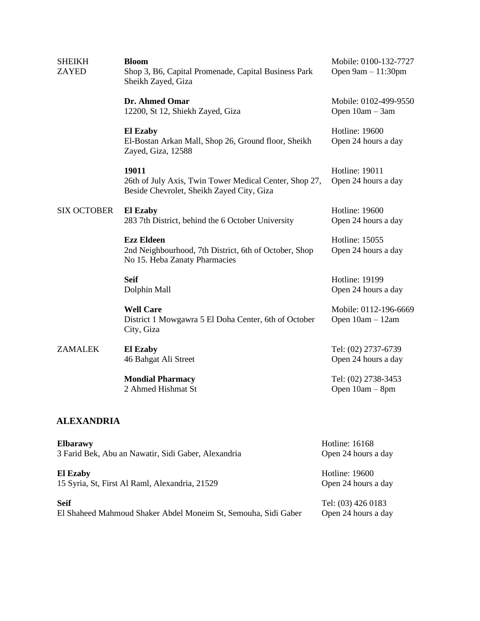| <b>SHEIKH</b><br><b>ZAYED</b> | <b>Bloom</b><br>Shop 3, B6, Capital Promenade, Capital Business Park<br>Sheikh Zayed, Giza                   | Mobile: 0100-132-7727<br>Open $9am - 11:30pm$ |
|-------------------------------|--------------------------------------------------------------------------------------------------------------|-----------------------------------------------|
|                               | Dr. Ahmed Omar<br>12200, St 12, Shiekh Zayed, Giza                                                           | Mobile: 0102-499-9550<br>Open 10am - 3am      |
|                               | <b>El Ezaby</b><br>El-Bostan Arkan Mall, Shop 26, Ground floor, Sheikh<br>Zayed, Giza, 12588                 | Hotline: 19600<br>Open 24 hours a day         |
|                               | 19011<br>26th of July Axis, Twin Tower Medical Center, Shop 27,<br>Beside Chevrolet, Sheikh Zayed City, Giza | Hotline: 19011<br>Open 24 hours a day         |
| <b>SIX OCTOBER</b>            | <b>El Ezaby</b><br>283 7th District, behind the 6 October University                                         | Hotline: 19600<br>Open 24 hours a day         |
|                               | <b>Ezz Eldeen</b><br>2nd Neighbourhood, 7th District, 6th of October, Shop<br>No 15. Heba Zanaty Pharmacies  | Hotline: 15055<br>Open 24 hours a day         |
|                               | <b>Seif</b><br>Dolphin Mall                                                                                  | Hotline: 19199<br>Open 24 hours a day         |
|                               | <b>Well Care</b><br>District 1 Mowgawra 5 El Doha Center, 6th of October<br>City, Giza                       | Mobile: 0112-196-6669<br>Open 10am - 12am     |
| <b>ZAMALEK</b>                | <b>El Ezaby</b><br>46 Bahgat Ali Street                                                                      | Tel: (02) 2737-6739<br>Open 24 hours a day    |
|                               | <b>Mondial Pharmacy</b><br>2 Ahmed Hishmat St                                                                | Tel: (02) 2738-3453<br>Open 10am - 8pm        |

# **ALEXANDRIA**

| <b>Elbarawy</b>                                                | Hotline: 16168      |
|----------------------------------------------------------------|---------------------|
| 3 Farid Bek, Abu an Nawatir, Sidi Gaber, Alexandria            | Open 24 hours a day |
| El Ezaby                                                       | Hotline: 19600      |
| 15 Syria, St, First Al Raml, Alexandria, 21529                 | Open 24 hours a day |
| <b>Seif</b>                                                    | Tel: (03) 426 0183  |
| El Shaheed Mahmoud Shaker Abdel Moneim St, Semouha, Sidi Gaber | Open 24 hours a day |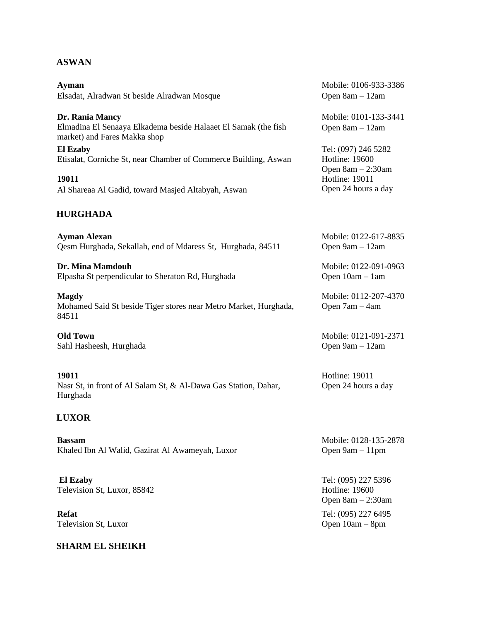## **ASWAN**

**Ayman** Elsadat, Alradwan St beside Alradwan Mosque

**Dr. Rania Mancy** Elmadina El Senaaya Elkadema beside Halaaet El Samak (the fish market) and Fares Makka shop

**El Ezaby** Etisalat, Corniche St, near Chamber of Commerce Building, Aswan

**19011** Al Shareaa Al Gadid, toward Masjed Altabyah, Aswan

## **HURGHADA**

**Ayman Alexan** Qesm Hurghada, Sekallah, end of Mdaress St, Hurghada, 84511

**Dr. Mina Mamdouh** Elpasha St perpendicular to Sheraton Rd, Hurghada

**Magdy** Mohamed Said St beside Tiger stores near Metro Market, Hurghada, 84511

**Old Town** Sahl Hasheesh, Hurghada

**19011** Nasr St, in front of Al Salam St, & Al-Dawa Gas Station, Dahar, Hurghada

#### **LUXOR**

**Bassam** Khaled Ibn Al Walid, Gazirat Al Awameyah, Luxor

**El Ezaby** Television St, Luxor, 85842

**Refat** Television St, Luxor

#### **SHARM EL SHEIKH**

Mobile: 0106-933-3386 Open 8am – 12am

Mobile: 0101-133-3441 Open 8am – 12am

Tel: (097) 246 5282 Hotline: 19600 Open 8am – 2:30am Hotline: 19011 Open 24 hours a day

Mobile: 0122-617-8835 Open 9am – 12am

Mobile: 0122-091-0963 Open 10am – 1am

Mobile: 0112-207-4370 Open 7am – 4am

Mobile: 0121-091-2371 Open 9am – 12am

Hotline: 19011 Open 24 hours a day

Mobile: 0128-135-2878 Open 9am – 11pm

Tel: (095) 227 5396 Hotline: 19600 Open 8am – 2:30am Tel: (095) 227 6495 Open 10am – 8pm